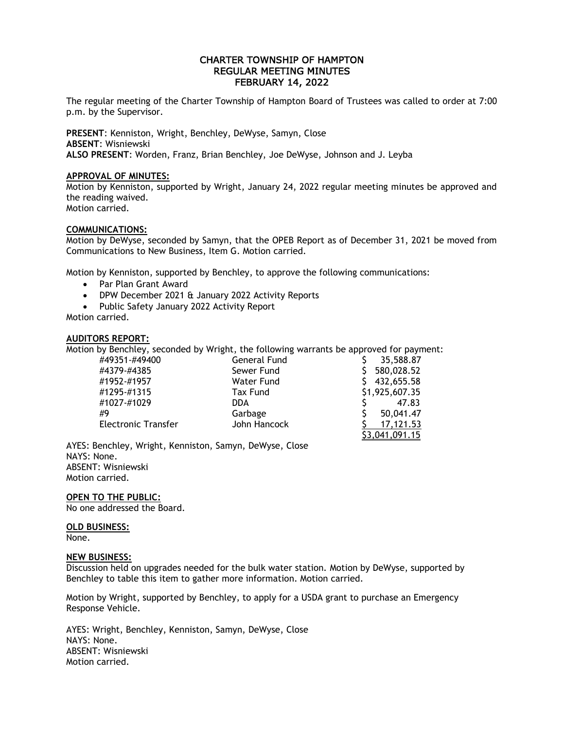# CHARTER TOWNSHIP OF HAMPTON REGULAR MEETING MINUTES FEBRUARY 14, 2022

The regular meeting of the Charter Township of Hampton Board of Trustees was called to order at 7:00 p.m. by the Supervisor.

**PRESENT**: Kenniston, Wright, Benchley, DeWyse, Samyn, Close **ABSENT**: Wisniewski **ALSO PRESENT**: Worden, Franz, Brian Benchley, Joe DeWyse, Johnson and J. Leyba

#### **APPROVAL OF MINUTES:**

Motion by Kenniston, supported by Wright, January 24, 2022 regular meeting minutes be approved and the reading waived. Motion carried.

## **COMMUNICATIONS:**

Motion by DeWyse, seconded by Samyn, that the OPEB Report as of December 31, 2021 be moved from Communications to New Business, Item G. Motion carried.

Motion by Kenniston, supported by Benchley, to approve the following communications:

- Par Plan Grant Award
- DPW December 2021 & January 2022 Activity Reports
- Public Safety January 2022 Activity Report

Motion carried.

# **AUDITORS REPORT:**

Motion by Benchley, seconded by Wright, the following warrants be approved for payment:

| #49351-#49400              | General Fund    | 35,588.87      |
|----------------------------|-----------------|----------------|
| #4379-#4385                | Sewer Fund      | 580,028.52     |
| #1952-#1957                | Water Fund      | 432,655.58     |
| #1295-#1315                | <b>Tax Fund</b> | \$1,925,607.35 |
| #1027-#1029                | DDA.            | 47.83          |
| #9                         | Garbage         | 50,041.47      |
| <b>Electronic Transfer</b> | John Hancock    | 17,121.53      |
|                            |                 | \$3,041,091.15 |

AYES: Benchley, Wright, Kenniston, Samyn, DeWyse, Close NAYS: None. ABSENT: Wisniewski Motion carried.

# **OPEN TO THE PUBLIC:**

No one addressed the Board.

#### **OLD BUSINESS:**

None.

#### **NEW BUSINESS:**

Discussion held on upgrades needed for the bulk water station. Motion by DeWyse, supported by Benchley to table this item to gather more information. Motion carried.

Motion by Wright, supported by Benchley, to apply for a USDA grant to purchase an Emergency Response Vehicle.

AYES: Wright, Benchley, Kenniston, Samyn, DeWyse, Close NAYS: None. ABSENT: Wisniewski Motion carried.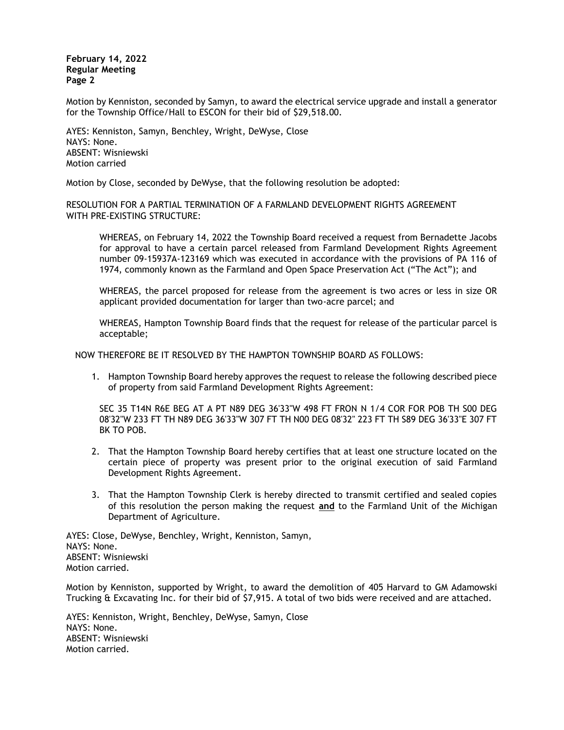**February 14, 2022 Regular Meeting Page 2**

Motion by Kenniston, seconded by Samyn, to award the electrical service upgrade and install a generator for the Township Office/Hall to ESCON for their bid of \$29,518.00.

AYES: Kenniston, Samyn, Benchley, Wright, DeWyse, Close NAYS: None. ABSENT: Wisniewski Motion carried

Motion by Close, seconded by DeWyse, that the following resolution be adopted:

RESOLUTION FOR A PARTIAL TERMINATION OF A FARMLAND DEVELOPMENT RIGHTS AGREEMENT WITH PRE-EXISTING STRUCTURE:

WHEREAS, on February 14, 2022 the Township Board received a request from Bernadette Jacobs for approval to have a certain parcel released from Farmland Development Rights Agreement number 09-15937A-123169 which was executed in accordance with the provisions of PA 116 of 1974, commonly known as the Farmland and Open Space Preservation Act ("The Act"); and

WHEREAS, the parcel proposed for release from the agreement is two acres or less in size OR applicant provided documentation for larger than two-acre parcel; and

WHEREAS, Hampton Township Board finds that the request for release of the particular parcel is acceptable;

NOW THEREFORE BE IT RESOLVED BY THE HAMPTON TOWNSHIP BOARD AS FOLLOWS:

1. Hampton Township Board hereby approves the request to release the following described piece of property from said Farmland Development Rights Agreement:

SEC 35 T14N R6E BEG AT A PT N89 DEG 36'33"W 498 FT FRON N 1/4 COR FOR POB TH S00 DEG 08'32"W 233 FT TH N89 DEG 36'33"W 307 FT TH N00 DEG 08'32" 223 FT TH S89 DEG 36'33"E 307 FT BK TO POB.

- 2. That the Hampton Township Board hereby certifies that at least one structure located on the certain piece of property was present prior to the original execution of said Farmland Development Rights Agreement.
- 3. That the Hampton Township Clerk is hereby directed to transmit certified and sealed copies of this resolution the person making the request **and** to the Farmland Unit of the Michigan Department of Agriculture.

AYES: Close, DeWyse, Benchley, Wright, Kenniston, Samyn, NAYS: None. ABSENT: Wisniewski Motion carried.

Motion by Kenniston, supported by Wright, to award the demolition of 405 Harvard to GM Adamowski Trucking & Excavating Inc. for their bid of \$7,915. A total of two bids were received and are attached.

AYES: Kenniston, Wright, Benchley, DeWyse, Samyn, Close NAYS: None. ABSENT: Wisniewski Motion carried.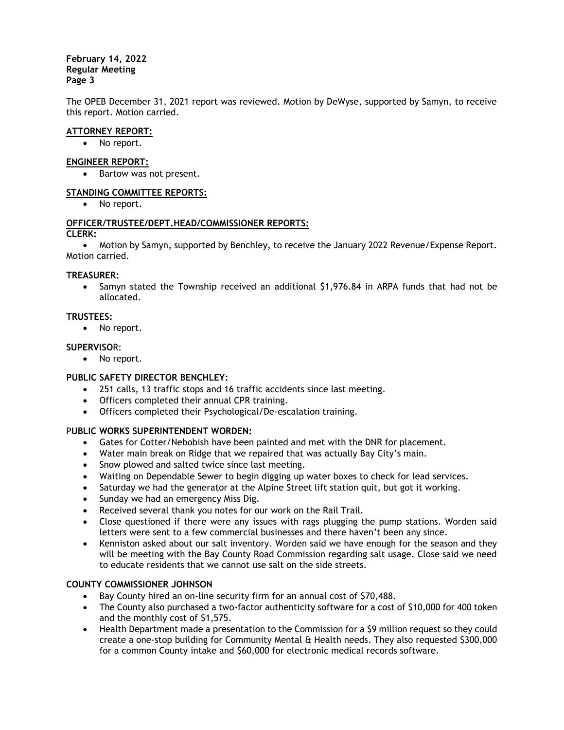## **February 14, 2022 Regular Meeting Page 3**

The OPEB December 31, 2021 report was reviewed. Motion by DeWyse, supported by Samyn, to receive this report. Motion carried.

# **ATTORNEY REPORT:**

No report.

# **ENGINEER REPORT:**

Bartow was not present.

# **STANDING COMMITTEE REPORTS:**

• No report.

#### **OFFICER/TRUSTEE/DEPT.HEAD/COMMISSIONER REPORTS: CLERK:**

 Motion by Samyn, supported by Benchley, to receive the January 2022 Revenue/Expense Report. Motion carried.

## **TREASURER:**

• Samyn stated the Township received an additional \$1,976.84 in ARPA funds that had not be allocated.

## **TRUSTEES:**

• No report.

# **SUPERVISO**R:

• No report.

## **PUBLIC SAFETY DIRECTOR BENCHLEY:**

- 251 calls, 13 traffic stops and 16 traffic accidents since last meeting.
- Officers completed their annual CPR training.
- Officers completed their Psychological/De-escalation training.

## P**UBLIC WORKS SUPERINTENDENT WORDEN:**

- Gates for Cotter/Nebobish have been painted and met with the DNR for placement.
- Water main break on Ridge that we repaired that was actually Bay City's main.
- Snow plowed and salted twice since last meeting.
- Waiting on Dependable Sewer to begin digging up water boxes to check for lead services.
- Saturday we had the generator at the Alpine Street lift station quit, but got it working.
- Sunday we had an emergency Miss Dig.
- Received several thank you notes for our work on the Rail Trail.
- Close questioned if there were any issues with rags plugging the pump stations. Worden said letters were sent to a few commercial businesses and there haven't been any since.
- Kenniston asked about our salt inventory. Worden said we have enough for the season and they will be meeting with the Bay County Road Commission regarding salt usage. Close said we need to educate residents that we cannot use salt on the side streets.

## **COUNTY COMMISSIONER JOHNSON**

- Bay County hired an on-line security firm for an annual cost of \$70,488.
- The County also purchased a two-factor authenticity software for a cost of \$10,000 for 400 token and the monthly cost of \$1,575.
- Health Department made a presentation to the Commission for a \$9 million request so they could create a one-stop building for Community Mental & Health needs. They also requested \$300,000 for a common County intake and \$60,000 for electronic medical records software.